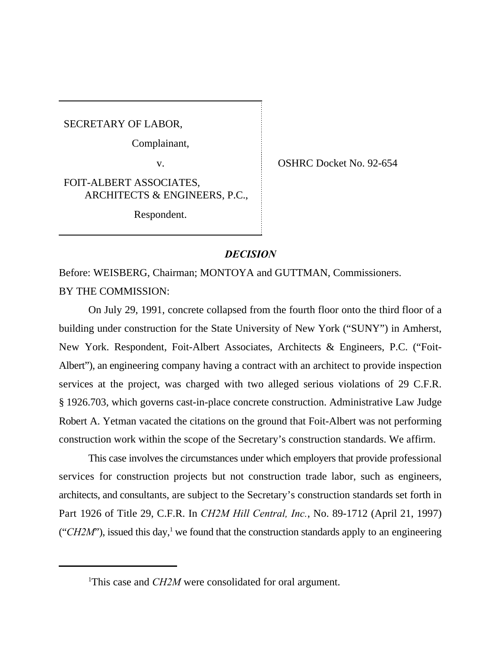SECRETARY OF LABOR,

Complainant,

v. COSHRC Docket No. 92-654

FOIT-ALBERT ASSOCIATES, ARCHITECTS & ENGINEERS, P.C.,

Respondent.

## *DECISION*

Before: WEISBERG, Chairman; MONTOYA and GUTTMAN, Commissioners. BY THE COMMISSION:

On July 29, 1991, concrete collapsed from the fourth floor onto the third floor of a building under construction for the State University of New York ("SUNY") in Amherst, New York. Respondent, Foit-Albert Associates, Architects & Engineers, P.C. ("Foit-Albert"), an engineering company having a contract with an architect to provide inspection services at the project, was charged with two alleged serious violations of 29 C.F.R. § 1926.703, which governs cast-in-place concrete construction. Administrative Law Judge Robert A. Yetman vacated the citations on the ground that Foit-Albert was not performing construction work within the scope of the Secretary's construction standards. We affirm.

This case involves the circumstances under which employers that provide professional services for construction projects but not construction trade labor, such as engineers, architects, and consultants, are subject to the Secretary's construction standards set forth in Part 1926 of Title 29, C.F.R. In *CH2M Hill Central, Inc.*, No. 89-1712 (April 21, 1997) (" $CH2M$ "), issued this day,<sup>1</sup> we found that the construction standards apply to an engineering

<sup>&</sup>lt;sup>1</sup>This case and *CH2M* were consolidated for oral argument.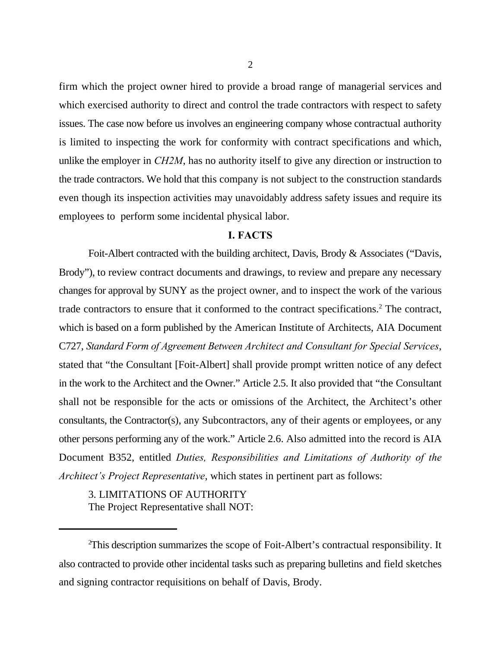firm which the project owner hired to provide a broad range of managerial services and which exercised authority to direct and control the trade contractors with respect to safety issues. The case now before us involves an engineering company whose contractual authority is limited to inspecting the work for conformity with contract specifications and which, unlike the employer in *CH2M*, has no authority itself to give any direction or instruction to the trade contractors. We hold that this company is not subject to the construction standards even though its inspection activities may unavoidably address safety issues and require its employees to perform some incidental physical labor.

## **I. FACTS**

Foit-Albert contracted with the building architect, Davis, Brody & Associates ("Davis, Brody"), to review contract documents and drawings, to review and prepare any necessary changes for approval by SUNY as the project owner, and to inspect the work of the various trade contractors to ensure that it conformed to the contract specifications.<sup>2</sup> The contract, which is based on a form published by the American Institute of Architects, AIA Document C727, *Standard Form of Agreement Between Architect and Consultant for Special Services*, stated that "the Consultant [Foit-Albert] shall provide prompt written notice of any defect in the work to the Architect and the Owner." Article 2.5. It also provided that "the Consultant shall not be responsible for the acts or omissions of the Architect, the Architect's other consultants, the Contractor(s), any Subcontractors, any of their agents or employees, or any other persons performing any of the work." Article 2.6. Also admitted into the record is AIA Document B352, entitled *Duties, Responsibilities and Limitations of Authority of the Architect's Project Representative*, which states in pertinent part as follows:

3. LIMITATIONS OF AUTHORITY The Project Representative shall NOT:

<sup>&</sup>lt;sup>2</sup>This description summarizes the scope of Foit-Albert's contractual responsibility. It also contracted to provide other incidental tasks such as preparing bulletins and field sketches and signing contractor requisitions on behalf of Davis, Brody.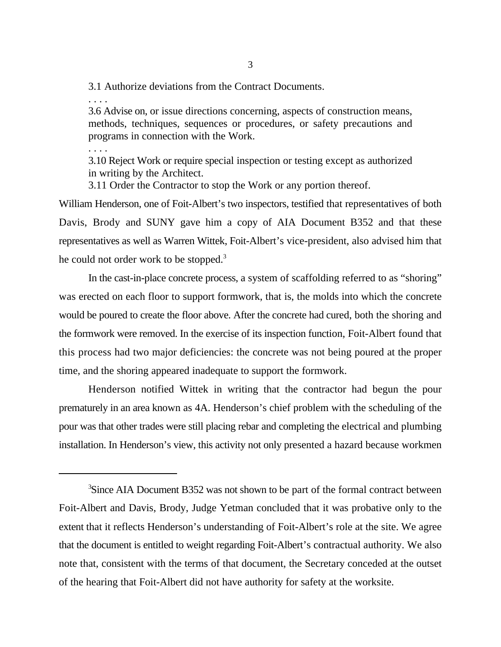3.1 Authorize deviations from the Contract Documents.

. . . .

3.6 Advise on, or issue directions concerning, aspects of construction means, methods, techniques, sequences or procedures, or safety precautions and programs in connection with the Work.

. . . .

3.10 Reject Work or require special inspection or testing except as authorized in writing by the Architect.

3.11 Order the Contractor to stop the Work or any portion thereof.

William Henderson, one of Foit-Albert's two inspectors, testified that representatives of both Davis, Brody and SUNY gave him a copy of AIA Document B352 and that these representatives as well as Warren Wittek, Foit-Albert's vice-president, also advised him that he could not order work to be stopped.<sup>3</sup>

In the cast-in-place concrete process, a system of scaffolding referred to as "shoring" was erected on each floor to support formwork, that is, the molds into which the concrete would be poured to create the floor above. After the concrete had cured, both the shoring and the formwork were removed. In the exercise of its inspection function, Foit-Albert found that this process had two major deficiencies: the concrete was not being poured at the proper time, and the shoring appeared inadequate to support the formwork.

Henderson notified Wittek in writing that the contractor had begun the pour prematurely in an area known as 4A. Henderson's chief problem with the scheduling of the pour was that other trades were still placing rebar and completing the electrical and plumbing installation. In Henderson's view, this activity not only presented a hazard because workmen

<sup>&</sup>lt;sup>3</sup>Since AIA Document B352 was not shown to be part of the formal contract between Foit-Albert and Davis, Brody, Judge Yetman concluded that it was probative only to the extent that it reflects Henderson's understanding of Foit-Albert's role at the site. We agree that the document is entitled to weight regarding Foit-Albert's contractual authority. We also note that, consistent with the terms of that document, the Secretary conceded at the outset of the hearing that Foit-Albert did not have authority for safety at the worksite.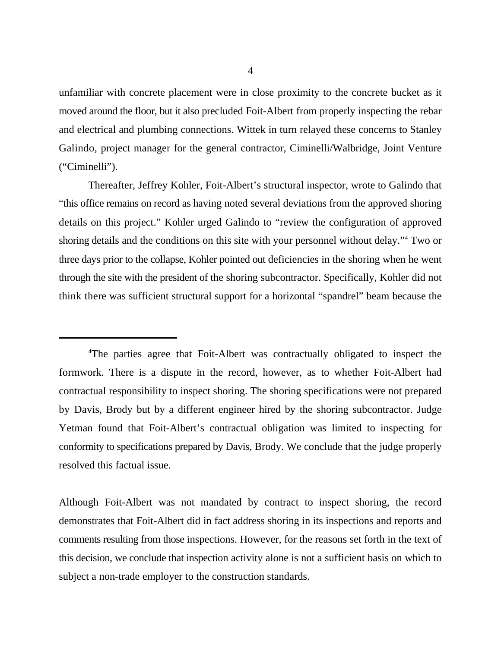unfamiliar with concrete placement were in close proximity to the concrete bucket as it moved around the floor, but it also precluded Foit-Albert from properly inspecting the rebar and electrical and plumbing connections. Wittek in turn relayed these concerns to Stanley Galindo, project manager for the general contractor, Ciminelli/Walbridge, Joint Venture ("Ciminelli").

Thereafter, Jeffrey Kohler, Foit-Albert's structural inspector, wrote to Galindo that "this office remains on record as having noted several deviations from the approved shoring details on this project." Kohler urged Galindo to "review the configuration of approved shoring details and the conditions on this site with your personnel without delay."<sup>4</sup> Two or three days prior to the collapse, Kohler pointed out deficiencies in the shoring when he went through the site with the president of the shoring subcontractor. Specifically, Kohler did not think there was sufficient structural support for a horizontal "spandrel" beam because the

Although Foit-Albert was not mandated by contract to inspect shoring, the record demonstrates that Foit-Albert did in fact address shoring in its inspections and reports and comments resulting from those inspections. However, for the reasons set forth in the text of this decision, we conclude that inspection activity alone is not a sufficient basis on which to subject a non-trade employer to the construction standards.

<sup>&</sup>lt;sup>4</sup>The parties agree that Foit-Albert was contractually obligated to inspect the formwork. There is a dispute in the record, however, as to whether Foit-Albert had contractual responsibility to inspect shoring. The shoring specifications were not prepared by Davis, Brody but by a different engineer hired by the shoring subcontractor. Judge Yetman found that Foit-Albert's contractual obligation was limited to inspecting for conformity to specifications prepared by Davis, Brody. We conclude that the judge properly resolved this factual issue.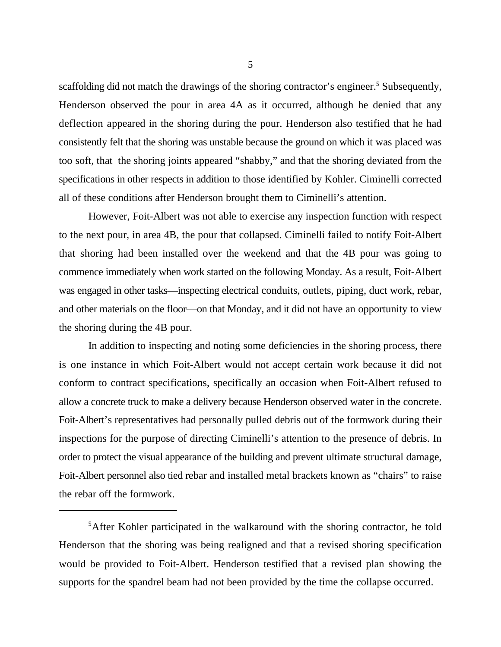scaffolding did not match the drawings of the shoring contractor's engineer.<sup>5</sup> Subsequently, Henderson observed the pour in area 4A as it occurred, although he denied that any deflection appeared in the shoring during the pour. Henderson also testified that he had consistently felt that the shoring was unstable because the ground on which it was placed was too soft, that the shoring joints appeared "shabby," and that the shoring deviated from the specifications in other respects in addition to those identified by Kohler. Ciminelli corrected all of these conditions after Henderson brought them to Ciminelli's attention.

However, Foit-Albert was not able to exercise any inspection function with respect to the next pour, in area 4B, the pour that collapsed. Ciminelli failed to notify Foit-Albert that shoring had been installed over the weekend and that the 4B pour was going to commence immediately when work started on the following Monday. As a result, Foit-Albert was engaged in other tasks—inspecting electrical conduits, outlets, piping, duct work, rebar, and other materials on the floor—on that Monday, and it did not have an opportunity to view the shoring during the 4B pour.

In addition to inspecting and noting some deficiencies in the shoring process, there is one instance in which Foit-Albert would not accept certain work because it did not conform to contract specifications, specifically an occasion when Foit-Albert refused to allow a concrete truck to make a delivery because Henderson observed water in the concrete. Foit-Albert's representatives had personally pulled debris out of the formwork during their inspections for the purpose of directing Ciminelli's attention to the presence of debris. In order to protect the visual appearance of the building and prevent ultimate structural damage, Foit-Albert personnel also tied rebar and installed metal brackets known as "chairs" to raise the rebar off the formwork.

 ${}^{5}$ After Kohler participated in the walkaround with the shoring contractor, he told Henderson that the shoring was being realigned and that a revised shoring specification would be provided to Foit-Albert. Henderson testified that a revised plan showing the supports for the spandrel beam had not been provided by the time the collapse occurred.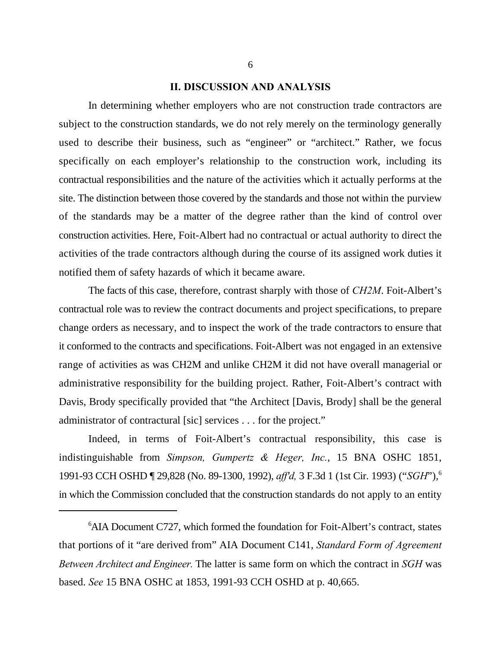## **II. DISCUSSION AND ANALYSIS**

In determining whether employers who are not construction trade contractors are subject to the construction standards, we do not rely merely on the terminology generally used to describe their business, such as "engineer" or "architect." Rather, we focus specifically on each employer's relationship to the construction work, including its contractual responsibilities and the nature of the activities which it actually performs at the site. The distinction between those covered by the standards and those not within the purview of the standards may be a matter of the degree rather than the kind of control over construction activities. Here, Foit-Albert had no contractual or actual authority to direct the activities of the trade contractors although during the course of its assigned work duties it notified them of safety hazards of which it became aware.

The facts of this case, therefore, contrast sharply with those of *CH2M*. Foit-Albert's contractual role was to review the contract documents and project specifications, to prepare change orders as necessary, and to inspect the work of the trade contractors to ensure that it conformed to the contracts and specifications. Foit-Albert was not engaged in an extensive range of activities as was CH2M and unlike CH2M it did not have overall managerial or administrative responsibility for the building project. Rather, Foit-Albert's contract with Davis, Brody specifically provided that "the Architect [Davis, Brody] shall be the general administrator of contractural [sic] services . . . for the project."

Indeed, in terms of Foit-Albert's contractual responsibility, this case is indistinguishable from *Simpson, Gumpertz & Heger, Inc.*, 15 BNA OSHC 1851, 1991-93 CCH OSHD ¶ 29,828 (No. 89-1300, 1992), *aff'd,* 3 F.3d 1 (1st Cir. 1993) ("*SGH*"), 6 in which the Commission concluded that the construction standards do not apply to an entity

 $6$ AIA Document C727, which formed the foundation for Foit-Albert's contract, states that portions of it "are derived from" AIA Document C141, *Standard Form of Agreement Between Architect and Engineer.* The latter is same form on which the contract in *SGH* was based. *See* 15 BNA OSHC at 1853, 1991-93 CCH OSHD at p. 40,665.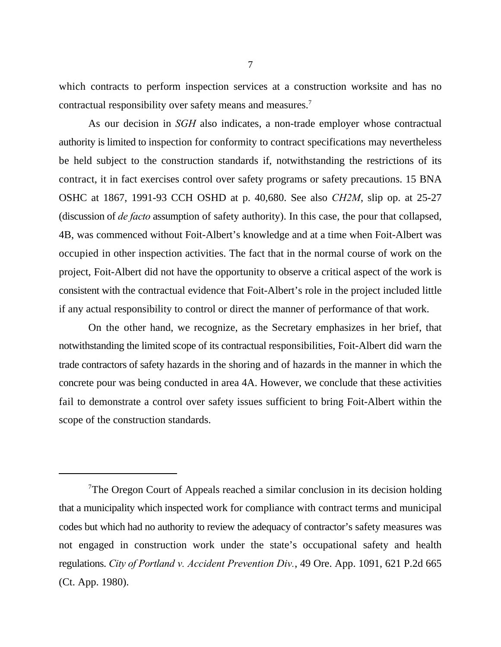which contracts to perform inspection services at a construction worksite and has no contractual responsibility over safety means and measures.<sup>7</sup>

As our decision in *SGH* also indicates, a non-trade employer whose contractual authority is limited to inspection for conformity to contract specifications may nevertheless be held subject to the construction standards if, notwithstanding the restrictions of its contract, it in fact exercises control over safety programs or safety precautions. 15 BNA OSHC at 1867, 1991-93 CCH OSHD at p. 40,680. See also *CH2M*, slip op. at 25-27 (discussion of *de facto* assumption of safety authority). In this case, the pour that collapsed, 4B, was commenced without Foit-Albert's knowledge and at a time when Foit-Albert was occupied in other inspection activities. The fact that in the normal course of work on the project, Foit-Albert did not have the opportunity to observe a critical aspect of the work is consistent with the contractual evidence that Foit-Albert's role in the project included little if any actual responsibility to control or direct the manner of performance of that work.

On the other hand, we recognize, as the Secretary emphasizes in her brief, that notwithstanding the limited scope of its contractual responsibilities, Foit-Albert did warn the trade contractors of safety hazards in the shoring and of hazards in the manner in which the concrete pour was being conducted in area 4A. However, we conclude that these activities fail to demonstrate a control over safety issues sufficient to bring Foit-Albert within the scope of the construction standards.

The Oregon Court of Appeals reached a similar conclusion in its decision holding that a municipality which inspected work for compliance with contract terms and municipal codes but which had no authority to review the adequacy of contractor's safety measures was not engaged in construction work under the state's occupational safety and health regulations. *City of Portland v. Accident Prevention Div.*, 49 Ore. App. 1091, 621 P.2d 665 (Ct. App. 1980).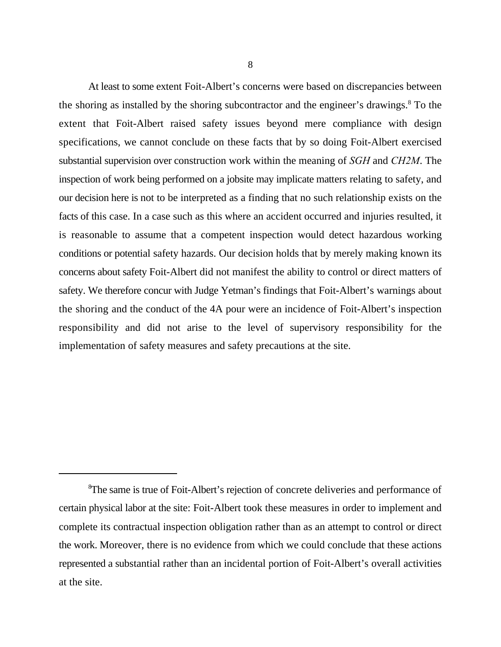At least to some extent Foit-Albert's concerns were based on discrepancies between the shoring as installed by the shoring subcontractor and the engineer's drawings.<sup>8</sup> To the extent that Foit-Albert raised safety issues beyond mere compliance with design specifications, we cannot conclude on these facts that by so doing Foit-Albert exercised substantial supervision over construction work within the meaning of *SGH* and *CH2M*. The inspection of work being performed on a jobsite may implicate matters relating to safety, and our decision here is not to be interpreted as a finding that no such relationship exists on the facts of this case. In a case such as this where an accident occurred and injuries resulted, it is reasonable to assume that a competent inspection would detect hazardous working conditions or potential safety hazards. Our decision holds that by merely making known its concerns about safety Foit-Albert did not manifest the ability to control or direct matters of safety. We therefore concur with Judge Yetman's findings that Foit-Albert's warnings about the shoring and the conduct of the 4A pour were an incidence of Foit-Albert's inspection responsibility and did not arise to the level of supervisory responsibility for the implementation of safety measures and safety precautions at the site.

<sup>&</sup>lt;sup>8</sup>The same is true of Foit-Albert's rejection of concrete deliveries and performance of certain physical labor at the site: Foit-Albert took these measures in order to implement and complete its contractual inspection obligation rather than as an attempt to control or direct the work. Moreover, there is no evidence from which we could conclude that these actions represented a substantial rather than an incidental portion of Foit-Albert's overall activities at the site.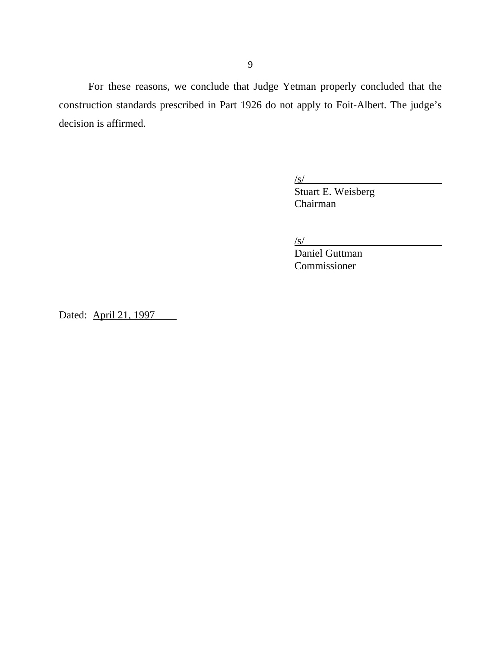For these reasons, we conclude that Judge Yetman properly concluded that the construction standards prescribed in Part 1926 do not apply to Foit-Albert. The judge's decision is affirmed.

/s/

Stuart E. Weisberg Chairman

 $\sqrt{s/2}$ 

Daniel Guttman Commissioner

Dated: April 21, 1997